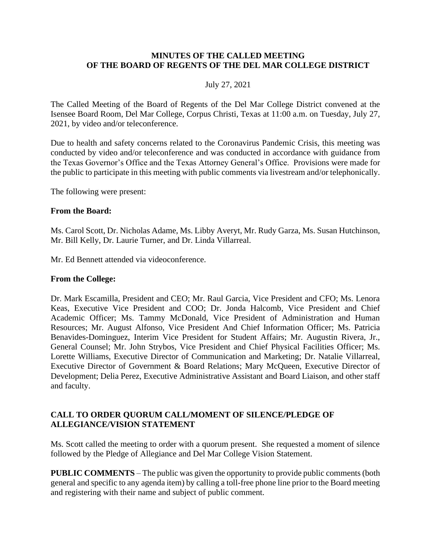## **MINUTES OF THE CALLED MEETING OF THE BOARD OF REGENTS OF THE DEL MAR COLLEGE DISTRICT**

## July 27, 2021

The Called Meeting of the Board of Regents of the Del Mar College District convened at the Isensee Board Room, Del Mar College, Corpus Christi, Texas at 11:00 a.m. on Tuesday, July 27, 2021, by video and/or teleconference.

Due to health and safety concerns related to the Coronavirus Pandemic Crisis, this meeting was conducted by video and/or teleconference and was conducted in accordance with guidance from the Texas Governor's Office and the Texas Attorney General's Office. Provisions were made for the public to participate in this meeting with public comments via livestream and/or telephonically.

The following were present:

#### **From the Board:**

Ms. Carol Scott, Dr. Nicholas Adame, Ms. Libby Averyt, Mr. Rudy Garza, Ms. Susan Hutchinson, Mr. Bill Kelly, Dr. Laurie Turner, and Dr. Linda Villarreal.

Mr. Ed Bennett attended via videoconference.

#### **From the College:**

Dr. Mark Escamilla, President and CEO; Mr. Raul Garcia, Vice President and CFO; Ms. Lenora Keas, Executive Vice President and COO; Dr. Jonda Halcomb, Vice President and Chief Academic Officer; Ms. Tammy McDonald, Vice President of Administration and Human Resources; Mr. August Alfonso, Vice President And Chief Information Officer; Ms. Patricia Benavides-Dominguez, Interim Vice President for Student Affairs; Mr. Augustin Rivera, Jr., General Counsel; Mr. John Strybos, Vice President and Chief Physical Facilities Officer; Ms. Lorette Williams, Executive Director of Communication and Marketing; Dr. Natalie Villarreal, Executive Director of Government & Board Relations; Mary McQueen, Executive Director of Development; Delia Perez, Executive Administrative Assistant and Board Liaison, and other staff and faculty.

## **CALL TO ORDER QUORUM CALL/MOMENT OF SILENCE/PLEDGE OF ALLEGIANCE/VISION STATEMENT**

Ms. Scott called the meeting to order with a quorum present. She requested a moment of silence followed by the Pledge of Allegiance and Del Mar College Vision Statement.

**PUBLIC COMMENTS** – The public was given the opportunity to provide public comments (both general and specific to any agenda item) by calling a toll-free phone line prior to the Board meeting and registering with their name and subject of public comment.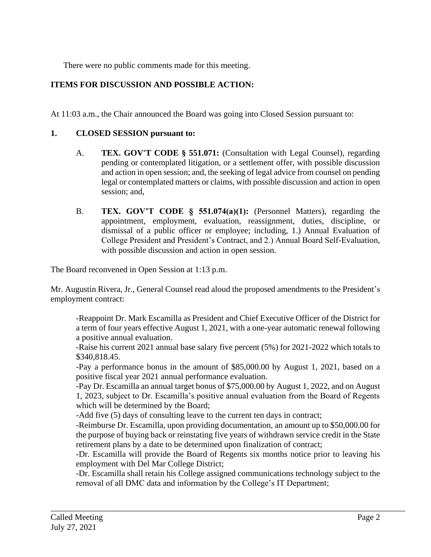There were no public comments made for this meeting.

# **ITEMS FOR DISCUSSION AND POSSIBLE ACTION:**

At 11:03 a.m., the Chair announced the Board was going into Closed Session pursuant to:

# **1. CLOSED SESSION pursuant to:**

- A. **TEX. GOV'T CODE § 551.071:** (Consultation with Legal Counsel), regarding pending or contemplated litigation, or a settlement offer, with possible discussion and action in open session; and, the seeking of legal advice from counsel on pending legal or contemplated matters or claims, with possible discussion and action in open session; and,
- B. **TEX. GOV'T CODE § 551.074(a)(1):** (Personnel Matters), regarding the appointment, employment, evaluation, reassignment, duties, discipline, or dismissal of a public officer or employee; including, 1.) Annual Evaluation of College President and President's Contract, and 2.) Annual Board Self-Evaluation, with possible discussion and action in open session.

The Board reconvened in Open Session at 1:13 p.m.

Mr. Augustin Rivera, Jr., General Counsel read aloud the proposed amendments to the President's employment contract:

-Reappoint Dr. Mark Escamilla as President and Chief Executive Officer of the District for a term of four years effective August 1, 2021, with a one-year automatic renewal following a positive annual evaluation.

-Raise his current 2021 annual base salary five percent (5%) for 2021-2022 which totals to \$340,818.45.

-Pay a performance bonus in the amount of \$85,000.00 by August 1, 2021, based on a positive fiscal year 2021 annual performance evaluation.

-Pay Dr. Escamilla an annual target bonus of \$75,000.00 by August 1, 2022, and on August 1, 2023, subject to Dr. Escamilla's positive annual evaluation from the Board of Regents which will be determined by the Board;

-Add five (5) days of consulting leave to the current ten days in contract;

-Reimburse Dr. Escamilla, upon providing documentation, an amount up to \$50,000.00 for the purpose of buying back or reinstating five years of withdrawn service credit in the State retirement plans by a date to be determined upon finalization of contract;

-Dr. Escamilla will provide the Board of Regents six months notice prior to leaving his employment with Del Mar College District;

-Dr. Escamilla shall retain his College assigned communications technology subject to the removal of all DMC data and information by the College's IT Department;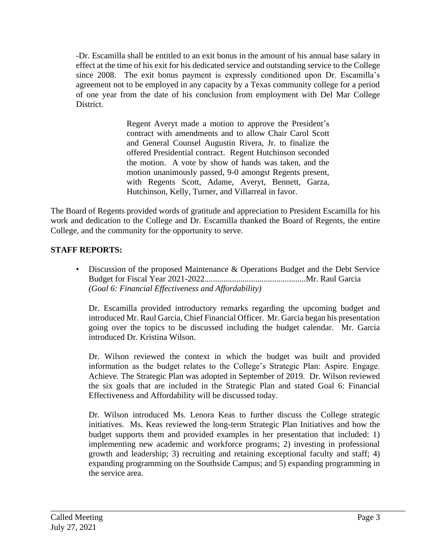-Dr. Escamilla shall be entitled to an exit bonus in the amount of his annual base salary in effect at the time of his exit for his dedicated service and outstanding service to the College since 2008. The exit bonus payment is expressly conditioned upon Dr. Escamilla's agreement not to be employed in any capacity by a Texas community college for a period of one year from the date of his conclusion from employment with Del Mar College District.

> Regent Averyt made a motion to approve the President's contract with amendments and to allow Chair Carol Scott and General Counsel Augustin Rivera, Jr. to finalize the offered Presidential contract. Regent Hutchinson seconded the motion. A vote by show of hands was taken, and the motion unanimously passed, 9-0 amongst Regents present, with Regents Scott, Adame, Averyt, Bennett, Garza, Hutchinson, Kelly, Turner, and Villarreal in favor.

The Board of Regents provided words of gratitude and appreciation to President Escamilla for his work and dedication to the College and Dr. Escamilla thanked the Board of Regents, the entire College, and the community for the opportunity to serve.

# **STAFF REPORTS:**

• Discussion of the proposed Maintenance & Operations Budget and the Debt Service Budget for Fiscal Year 2021-2022................................................Mr. Raul Garcia *(Goal 6: Financial Effectiveness and Affordability)*

Dr. Escamilla provided introductory remarks regarding the upcoming budget and introduced Mr. Raul Garcia, Chief Financial Officer. Mr. Garcia began his presentation going over the topics to be discussed including the budget calendar. Mr. Garcia introduced Dr. Kristina Wilson.

Dr. Wilson reviewed the context in which the budget was built and provided information as the budget relates to the College's Strategic Plan: Aspire. Engage. Achieve. The Strategic Plan was adopted in September of 2019. Dr. Wilson reviewed the six goals that are included in the Strategic Plan and stated Goal 6: Financial Effectiveness and Affordability will be discussed today.

Dr. Wilson introduced Ms. Lenora Keas to further discuss the College strategic initiatives. Ms. Keas reviewed the long-term Strategic Plan Initiatives and how the budget supports them and provided examples in her presentation that included: 1) implementing new academic and workforce programs; 2) investing in professional growth and leadership; 3) recruiting and retaining exceptional faculty and staff; 4) expanding programming on the Southside Campus; and 5) expanding programming in the service area.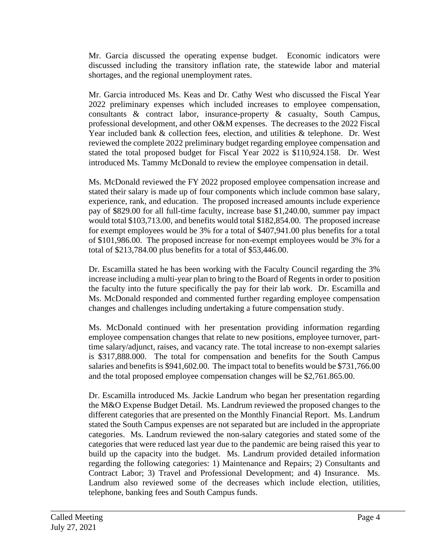Mr. Garcia discussed the operating expense budget. Economic indicators were discussed including the transitory inflation rate, the statewide labor and material shortages, and the regional unemployment rates.

Mr. Garcia introduced Ms. Keas and Dr. Cathy West who discussed the Fiscal Year 2022 preliminary expenses which included increases to employee compensation, consultants & contract labor, insurance-property & casualty, South Campus, professional development, and other O&M expenses. The decreases to the 2022 Fiscal Year included bank & collection fees, election, and utilities & telephone. Dr. West reviewed the complete 2022 preliminary budget regarding employee compensation and stated the total proposed budget for Fiscal Year 2022 is \$110,924.158. Dr. West introduced Ms. Tammy McDonald to review the employee compensation in detail.

Ms. McDonald reviewed the FY 2022 proposed employee compensation increase and stated their salary is made up of four components which include common base salary, experience, rank, and education. The proposed increased amounts include experience pay of \$829.00 for all full-time faculty, increase base \$1,240.00, summer pay impact would total \$103,713.00, and benefits would total \$182,854.00. The proposed increase for exempt employees would be 3% for a total of \$407,941.00 plus benefits for a total of \$101,986.00. The proposed increase for non-exempt employees would be 3% for a total of \$213,784.00 plus benefits for a total of \$53,446.00.

Dr. Escamilla stated he has been working with the Faculty Council regarding the 3% increase including a multi-year plan to bring to the Board of Regents in order to position the faculty into the future specifically the pay for their lab work. Dr. Escamilla and Ms. McDonald responded and commented further regarding employee compensation changes and challenges including undertaking a future compensation study.

Ms. McDonald continued with her presentation providing information regarding employee compensation changes that relate to new positions, employee turnover, parttime salary/adjunct, raises, and vacancy rate. The total increase to non-exempt salaries is \$317,888.000. The total for compensation and benefits for the South Campus salaries and benefits is \$941,602.00. The impact total to benefits would be \$731,766.00 and the total proposed employee compensation changes will be \$2,761.865.00.

Dr. Escamilla introduced Ms. Jackie Landrum who began her presentation regarding the M&O Expense Budget Detail. Ms. Landrum reviewed the proposed changes to the different categories that are presented on the Monthly Financial Report. Ms. Landrum stated the South Campus expenses are not separated but are included in the appropriate categories. Ms. Landrum reviewed the non-salary categories and stated some of the categories that were reduced last year due to the pandemic are being raised this year to build up the capacity into the budget. Ms. Landrum provided detailed information regarding the following categories: 1) Maintenance and Repairs; 2) Consultants and Contract Labor; 3) Travel and Professional Development; and 4) Insurance. Ms. Landrum also reviewed some of the decreases which include election, utilities, telephone, banking fees and South Campus funds.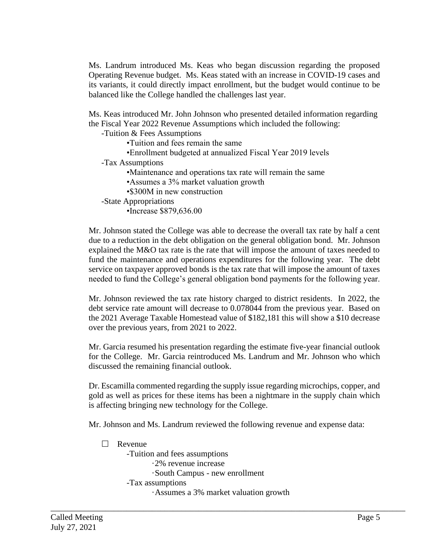Ms. Landrum introduced Ms. Keas who began discussion regarding the proposed Operating Revenue budget. Ms. Keas stated with an increase in COVID-19 cases and its variants, it could directly impact enrollment, but the budget would continue to be balanced like the College handled the challenges last year.

Ms. Keas introduced Mr. John Johnson who presented detailed information regarding the Fiscal Year 2022 Revenue Assumptions which included the following:

-Tuition & Fees Assumptions

•Tuition and fees remain the same

•Enrollment budgeted at annualized Fiscal Year 2019 levels

-Tax Assumptions

•Maintenance and operations tax rate will remain the same

•Assumes a 3% market valuation growth

•\$300M in new construction

-State Appropriations

•Increase \$879,636.00

Mr. Johnson stated the College was able to decrease the overall tax rate by half a cent due to a reduction in the debt obligation on the general obligation bond. Mr. Johnson explained the M&O tax rate is the rate that will impose the amount of taxes needed to fund the maintenance and operations expenditures for the following year. The debt service on taxpayer approved bonds is the tax rate that will impose the amount of taxes needed to fund the College's general obligation bond payments for the following year.

Mr. Johnson reviewed the tax rate history charged to district residents. In 2022, the debt service rate amount will decrease to 0.078044 from the previous year. Based on the 2021 Average Taxable Homestead value of \$182,181 this will show a \$10 decrease over the previous years, from 2021 to 2022.

Mr. Garcia resumed his presentation regarding the estimate five-year financial outlook for the College. Mr. Garcia reintroduced Ms. Landrum and Mr. Johnson who which discussed the remaining financial outlook.

Dr. Escamilla commented regarding the supply issue regarding microchips, copper, and gold as well as prices for these items has been a nightmare in the supply chain which is affecting bringing new technology for the College.

Mr. Johnson and Ms. Landrum reviewed the following revenue and expense data:

\_\_\_\_\_\_\_\_\_\_\_\_\_\_\_\_\_\_\_\_\_\_\_\_\_\_\_\_\_\_\_\_\_\_\_\_\_\_\_\_\_\_\_\_\_\_\_\_\_\_\_\_\_\_\_\_\_\_\_\_\_\_\_\_\_\_\_\_\_\_\_\_\_\_\_\_\_\_\_\_\_\_\_\_

 $\Box$  Revenue -Tuition and fees assumptions ·2% revenue increase ·South Campus - new enrollment -Tax assumptions ·Assumes a 3% market valuation growth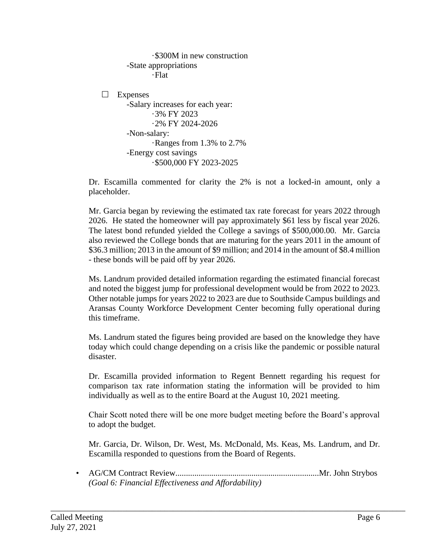```
·$300M in new construction
      -State appropriations
              ·Flat
\Box Expenses
      -Salary increases for each year:
              ·3% FY 2023
              ·2% FY 2024-2026
      -Non-salary:
              ·Ranges from 1.3% to 2.7%
      -Energy cost savings
              ·$500,000 FY 2023-2025
```
Dr. Escamilla commented for clarity the 2% is not a locked-in amount, only a placeholder.

Mr. Garcia began by reviewing the estimated tax rate forecast for years 2022 through 2026. He stated the homeowner will pay approximately \$61 less by fiscal year 2026. The latest bond refunded yielded the College a savings of \$500,000.00. Mr. Garcia also reviewed the College bonds that are maturing for the years 2011 in the amount of \$36.3 million; 2013 in the amount of \$9 million; and 2014 in the amount of \$8.4 million - these bonds will be paid off by year 2026.

Ms. Landrum provided detailed information regarding the estimated financial forecast and noted the biggest jump for professional development would be from 2022 to 2023. Other notable jumps for years 2022 to 2023 are due to Southside Campus buildings and Aransas County Workforce Development Center becoming fully operational during this timeframe.

Ms. Landrum stated the figures being provided are based on the knowledge they have today which could change depending on a crisis like the pandemic or possible natural disaster.

Dr. Escamilla provided information to Regent Bennett regarding his request for comparison tax rate information stating the information will be provided to him individually as well as to the entire Board at the August 10, 2021 meeting.

Chair Scott noted there will be one more budget meeting before the Board's approval to adopt the budget.

Mr. Garcia, Dr. Wilson, Dr. West, Ms. McDonald, Ms. Keas, Ms. Landrum, and Dr. Escamilla responded to questions from the Board of Regents.

• AG/CM Contract Review....................................................................Mr. John Strybos *(Goal 6: Financial Effectiveness and Affordability)*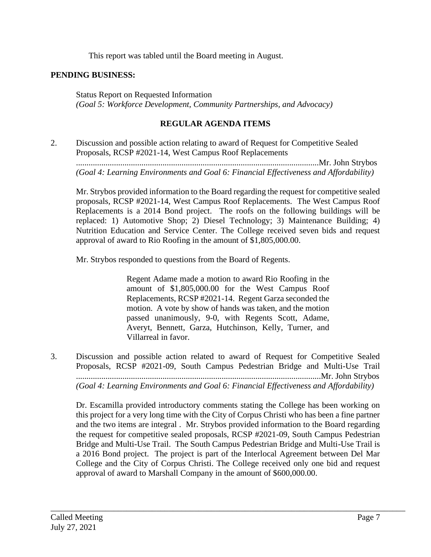This report was tabled until the Board meeting in August.

## **PENDING BUSINESS:**

Status Report on Requested Information *(Goal 5: Workforce Development, Community Partnerships, and Advocacy)*

## **REGULAR AGENDA ITEMS**

2. Discussion and possible action relating to award of Request for Competitive Sealed Proposals, RCSP #2021-14, West Campus Roof Replacements

...................................................................................................................Mr. John Strybos *(Goal 4: Learning Environments and Goal 6: Financial Effectiveness and Affordability)*

Mr. Strybos provided information to the Board regarding the request for competitive sealed proposals, RCSP #2021-14, West Campus Roof Replacements. The West Campus Roof Replacements is a 2014 Bond project. The roofs on the following buildings will be replaced: 1) Automotive Shop; 2) Diesel Technology; 3) Maintenance Building; 4) Nutrition Education and Service Center. The College received seven bids and request approval of award to Rio Roofing in the amount of \$1,805,000.00.

Mr. Strybos responded to questions from the Board of Regents.

Regent Adame made a motion to award Rio Roofing in the amount of \$1,805,000.00 for the West Campus Roof Replacements, RCSP #2021-14. Regent Garza seconded the motion. A vote by show of hands was taken, and the motion passed unanimously, 9-0, with Regents Scott, Adame, Averyt, Bennett, Garza, Hutchinson, Kelly, Turner, and Villarreal in favor.

3. Discussion and possible action related to award of Request for Competitive Sealed Proposals, RCSP #2021-09, South Campus Pedestrian Bridge and Multi-Use Trail ....................................................................................................................Mr. John Strybos *(Goal 4: Learning Environments and Goal 6: Financial Effectiveness and Affordability)*

Dr. Escamilla provided introductory comments stating the College has been working on this project for a very long time with the City of Corpus Christi who has been a fine partner and the two items are integral . Mr. Strybos provided information to the Board regarding the request for competitive sealed proposals, RCSP #2021-09, South Campus Pedestrian Bridge and Multi-Use Trail. The South Campus Pedestrian Bridge and Multi-Use Trail is a 2016 Bond project. The project is part of the Interlocal Agreement between Del Mar College and the City of Corpus Christi. The College received only one bid and request approval of award to Marshall Company in the amount of \$600,000.00.